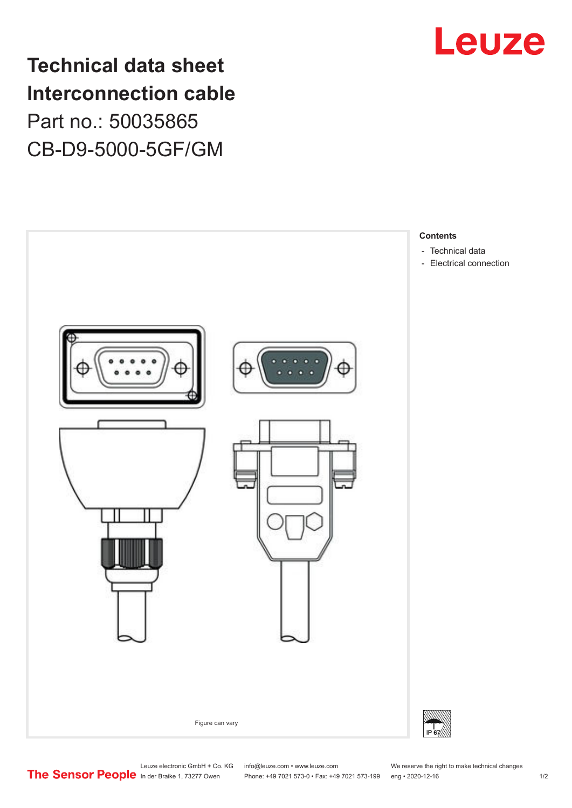## **Technical data sheet Interconnection cable** Part no.: 50035865 CB-D9-5000-5GF/GM





Leuze electronic GmbH + Co. KG info@leuze.com • www.leuze.com We reserve the right to make technical changes<br>
The Sensor People in der Braike 1, 73277 Owen Phone: +49 7021 573-0 • Fax: +49 7021 573-199 eng • 2020-12-16

Phone: +49 7021 573-0 • Fax: +49 7021 573-199 eng • 2020-12-16